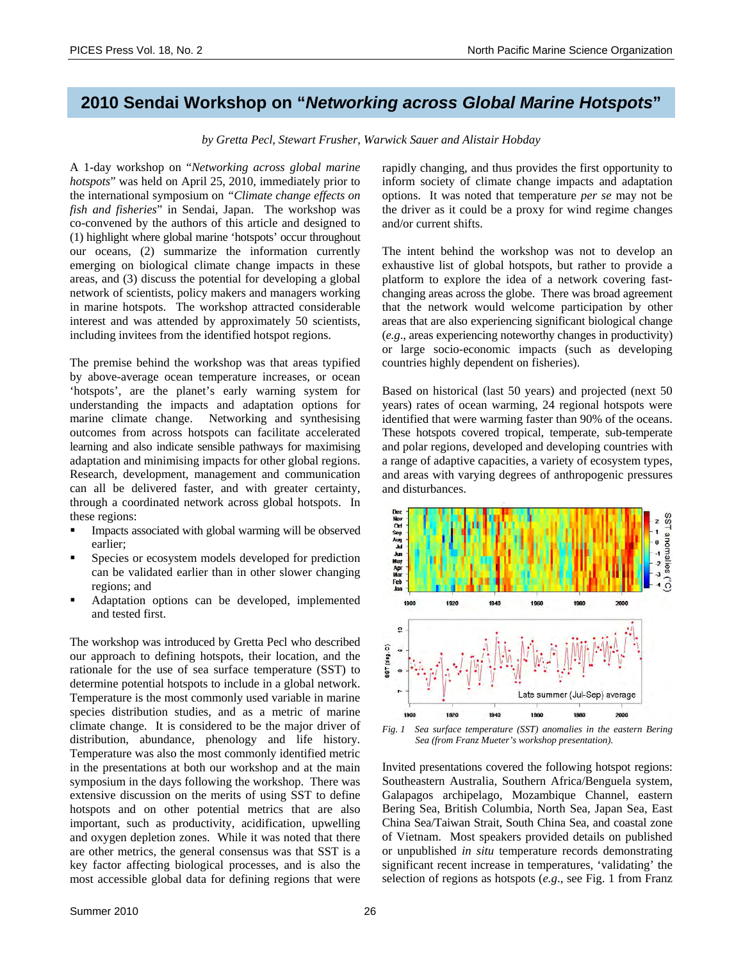## **2010 Sendai Workshop on "***Networking across Global Marine Hotspots***"**

*by Gretta Pecl, Stewart Frusher, Warwick Sauer and Alistair Hobday*

A 1-day workshop on "*Networking across global marine hotspots*" was held on April 25, 2010, immediately prior to the international symposium on *"Climate change effects on fish and fisheries*" in Sendai, Japan. The workshop was co-convened by the authors of this article and designed to (1) highlight where global marine 'hotspots' occur throughout our oceans, (2) summarize the information currently emerging on biological climate change impacts in these areas, and (3) discuss the potential for developing a global network of scientists, policy makers and managers working in marine hotspots. The workshop attracted considerable interest and was attended by approximately 50 scientists, including invitees from the identified hotspot regions.

The premise behind the workshop was that areas typified by above-average ocean temperature increases, or ocean 'hotspots', are the planet's early warning system for understanding the impacts and adaptation options for marine climate change. Networking and synthesising outcomes from across hotspots can facilitate accelerated learning and also indicate sensible pathways for maximising adaptation and minimising impacts for other global regions. Research, development, management and communication can all be delivered faster, and with greater certainty, through a coordinated network across global hotspots. In these regions:

- Impacts associated with global warming will be observed earlier;
- Species or ecosystem models developed for prediction can be validated earlier than in other slower changing regions; and
- Adaptation options can be developed, implemented and tested first.

The workshop was introduced by Gretta Pecl who described our approach to defining hotspots, their location, and the rationale for the use of sea surface temperature (SST) to determine potential hotspots to include in a global network. Temperature is the most commonly used variable in marine species distribution studies, and as a metric of marine climate change. It is considered to be the major driver of distribution, abundance, phenology and life history. Temperature was also the most commonly identified metric in the presentations at both our workshop and at the main symposium in the days following the workshop. There was extensive discussion on the merits of using SST to define hotspots and on other potential metrics that are also important, such as productivity, acidification, upwelling and oxygen depletion zones. While it was noted that there are other metrics, the general consensus was that SST is a key factor affecting biological processes, and is also the most accessible global data for defining regions that were

rapidly changing, and thus provides the first opportunity to inform society of climate change impacts and adaptation options. It was noted that temperature *per se* may not be the driver as it could be a proxy for wind regime changes and/or current shifts.

The intent behind the workshop was not to develop an exhaustive list of global hotspots, but rather to provide a platform to explore the idea of a network covering fastchanging areas across the globe. There was broad agreement that the network would welcome participation by other areas that are also experiencing significant biological change (*e.g*., areas experiencing noteworthy changes in productivity) or large socio-economic impacts (such as developing countries highly dependent on fisheries).

Based on historical (last 50 years) and projected (next 50 years) rates of ocean warming, 24 regional hotspots were identified that were warming faster than 90% of the oceans. These hotspots covered tropical, temperate, sub-temperate and polar regions, developed and developing countries with a range of adaptive capacities, a variety of ecosystem types, and areas with varying degrees of anthropogenic pressures and disturbances.



*Fig. 1 Sea surface temperature (SST) anomalies in the eastern Bering Sea (from Franz Mueter's workshop presentation).* 

Invited presentations covered the following hotspot regions: Southeastern Australia, Southern Africa/Benguela system, Galapagos archipelago, Mozambique Channel, eastern Bering Sea, British Columbia, North Sea, Japan Sea, East China Sea/Taiwan Strait, South China Sea, and coastal zone of Vietnam. Most speakers provided details on published or unpublished *in situ* temperature records demonstrating significant recent increase in temperatures, 'validating' the selection of regions as hotspots (*e.g*., see Fig. 1 from Franz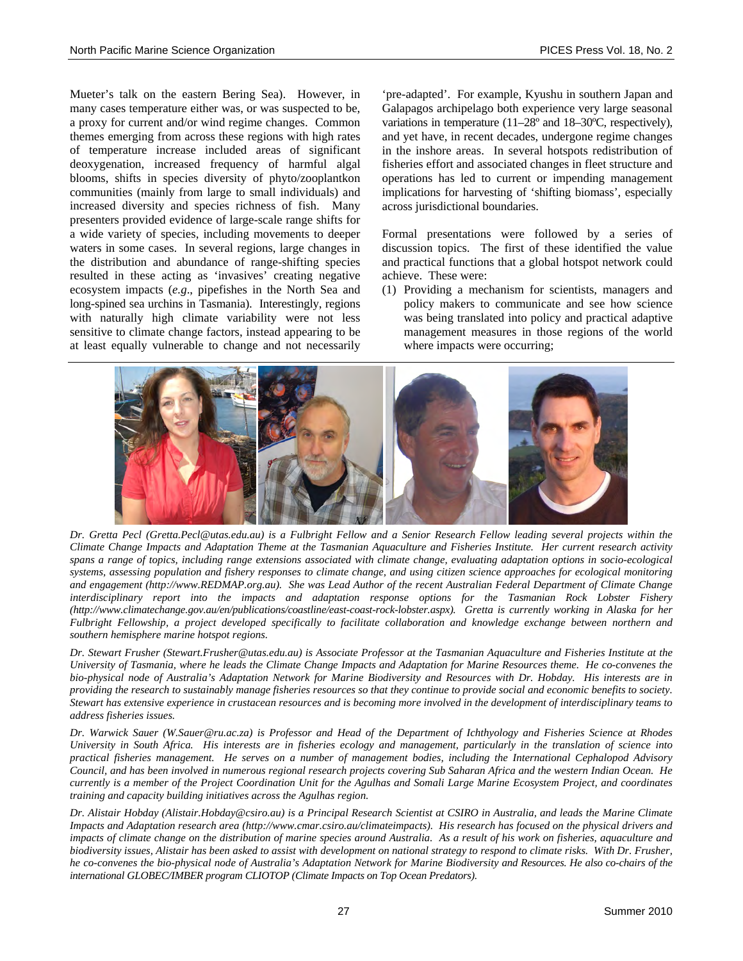Mueter's talk on the eastern Bering Sea). However, in many cases temperature either was, or was suspected to be, a proxy for current and/or wind regime changes. Common themes emerging from across these regions with high rates of temperature increase included areas of significant deoxygenation, increased frequency of harmful algal blooms, shifts in species diversity of phyto/zooplantkon communities (mainly from large to small individuals) and increased diversity and species richness of fish. Many presenters provided evidence of large-scale range shifts for a wide variety of species, including movements to deeper waters in some cases. In several regions, large changes in the distribution and abundance of range-shifting species resulted in these acting as 'invasives' creating negative ecosystem impacts (*e.g*., pipefishes in the North Sea and long-spined sea urchins in Tasmania). Interestingly, regions with naturally high climate variability were not less sensitive to climate change factors, instead appearing to be at least equally vulnerable to change and not necessarily

'pre-adapted'. For example, Kyushu in southern Japan and Galapagos archipelago both experience very large seasonal variations in temperature (11–28º and 18–30ºC, respectively), and yet have, in recent decades, undergone regime changes in the inshore areas. In several hotspots redistribution of fisheries effort and associated changes in fleet structure and operations has led to current or impending management implications for harvesting of 'shifting biomass', especially across jurisdictional boundaries.

Formal presentations were followed by a series of discussion topics. The first of these identified the value and practical functions that a global hotspot network could achieve. These were:

(1) Providing a mechanism for scientists, managers and policy makers to communicate and see how science was being translated into policy and practical adaptive management measures in those regions of the world where impacts were occurring;



*Dr. Gretta Pecl (Gretta.Pecl@utas.edu.au) is a Fulbright Fellow and a Senior Research Fellow leading several projects within the Climate Change Impacts and Adaptation Theme at the Tasmanian Aquaculture and Fisheries Institute. Her current research activity spans a range of topics, including range extensions associated with climate change, evaluating adaptation options in socio-ecological systems, assessing population and fishery responses to climate change, and using citizen science approaches for ecological monitoring and engagement (http://www.REDMAP.org.au). She was Lead Author of the recent Australian Federal Department of Climate Change interdisciplinary report into the impacts and adaptation response options for the Tasmanian Rock Lobster Fishery (http://www.climatechange.gov.au/en/publications/coastline/east-coast-rock-lobster.aspx). Gretta is currently working in Alaska for her Fulbright Fellowship, a project developed specifically to facilitate collaboration and knowledge exchange between northern and southern hemisphere marine hotspot regions.* 

*Dr. Stewart Frusher (Stewart.Frusher@utas.edu.au) is Associate Professor at the Tasmanian Aquaculture and Fisheries Institute at the University of Tasmania, where he leads the Climate Change Impacts and Adaptation for Marine Resources theme. He co-convenes the bio-physical node of Australia's Adaptation Network for Marine Biodiversity and Resources with Dr. Hobday. His interests are in providing the research to sustainably manage fisheries resources so that they continue to provide social and economic benefits to society. Stewart has extensive experience in crustacean resources and is becoming more involved in the development of interdisciplinary teams to address fisheries issues.* 

*Dr. Warwick Sauer (W.Sauer@ru.ac.za) is Professor and Head of the Department of Ichthyology and Fisheries Science at Rhodes University in South Africa. His interests are in fisheries ecology and management, particularly in the translation of science into practical fisheries management. He serves on a number of management bodies, including the International Cephalopod Advisory Council, and has been involved in numerous regional research projects covering Sub Saharan Africa and the western Indian Ocean. He currently is a member of the Project Coordination Unit for the Agulhas and Somali Large Marine Ecosystem Project, and coordinates training and capacity building initiatives across the Agulhas region.* 

*Dr. Alistair Hobday (Alistair.Hobday@csiro.au) is a Principal Research Scientist at CSIRO in Australia, and leads the Marine Climate Impacts and Adaptation research area (http://www.cmar.csiro.au/climateimpacts). His research has focused on the physical drivers and impacts of climate change on the distribution of marine species around Australia. As a result of his work on fisheries, aquaculture and biodiversity issues, Alistair has been asked to assist with development on national strategy to respond to climate risks. With Dr. Frusher, he co-convenes the bio-physical node of Australia's Adaptation Network for Marine Biodiversity and Resources. He also co-chairs of the international GLOBEC/IMBER program CLIOTOP (Climate Impacts on Top Ocean Predators).*